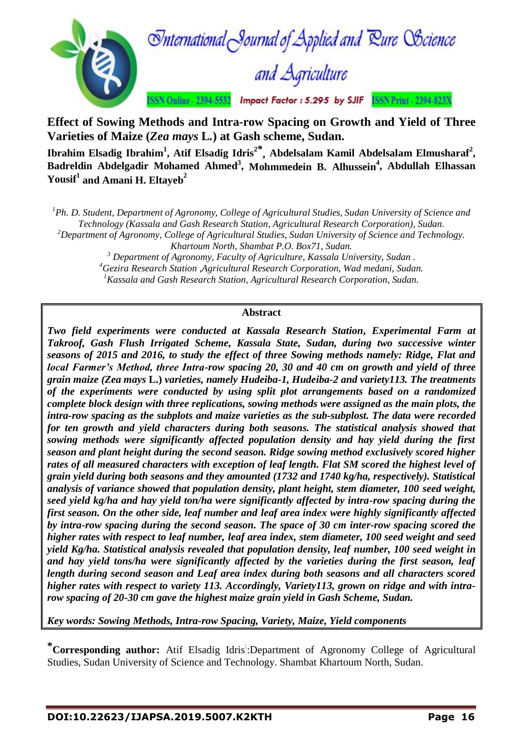

**Effect of Sowing Methods and Intra-row Spacing on Growth and Yield of Three Varieties of Maize (***Zea mays* **L***.***) at Gash scheme, Sudan.**

**Ibrahim Elsadig Ibrahim<sup>1</sup> , Atif Elsadig Idris<sup>2</sup>\* , Abdelsalam Kamil Abdelsalam Elmusharaf<sup>2</sup> , Badreldin Abdelgadir Mohamed Ahmed<sup>3</sup> , Mohmmedein B. Alhussein<sup>4</sup> , Abdullah Elhassan Yousif<sup>1</sup> and Amani H. Eltayeb<sup>2</sup>**

*<sup>1</sup>Ph. D. Student, Department of Agronomy, College of Agricultural Studies, Sudan University of Science and Technology (Kassala and Gash Research Station, Agricultural Research Corporation), Sudan.*

*<sup>2</sup>Department of Agronomy, College of Agricultural Studies, Sudan University of Science and Technology. Khartoum North, Shambat P.O. Box71, Sudan.*

*<sup>3</sup> Department of Agronomy, Faculty of Agriculture, Kassala University, Sudan .*

*<sup>4</sup>Gezira Research Station ,Agricultural Research Corporation, Wad medani, Sudan.*

*<sup>1</sup>Kassala and Gash Research Station, Agricultural Research Corporation, Sudan.*

# **Abstract**

*Two field experiments were conducted at Kassala Research Station, Experimental Farm at Takroof, Gash Flush Irrigated Scheme, Kassala State, Sudan, during two successive winter seasons of 2015 and 2016, to study the effect of three Sowing methods namely: Ridge, Flat and local Farmer's Method, three Intra-row spacing 20, 30 and 40 cm on growth and yield of three grain maize (Zea mays* **L.)** *varieties, namely Hudeiba-1, Hudeiba-2 and variety113. The treatments of the experiments were conducted by using split plot arrangements based on a randomized complete block design with three replications, sowing methods were assigned as the main plots, the intra-row spacing as the subplots and maize varieties as the sub-subplost. The data were recorded for ten growth and yield characters during both seasons. The statistical analysis showed that sowing methods were significantly affected population density and hay yield during the first season and plant height during the second season. Ridge sowing method exclusively scored higher rates of all measured characters with exception of leaf length. Flat SM scored the highest level of grain yield during both seasons and they amounted (1732 and 1740 kg/ha, respectively). Statistical analysis of variance showed that population density, plant height, stem diameter, 100 seed weight, seed yield kg/ha and hay yield ton/ha were significantly affected by intra-row spacing during the first season. On the other side, leaf number and leaf area index were highly significantly affected by intra-row spacing during the second season. The space of 30 cm inter-row spacing scored the higher rates with respect to leaf number, leaf area index, stem diameter, 100 seed weight and seed yield Kg/ha. Statistical analysis revealed that population density, leaf number, 100 seed weight in and hay yield tons/ha were significantly affected by the varieties during the first season, leaf length during second season and Leaf area index during both seasons and all characters scored higher rates with respect to variety 113. Accordingly, Variety113, grown on ridge and with intrarow spacing of 20-30 cm gave the highest maize grain yield in Gash Scheme, Sudan.*

*Key words: Sowing Methods, Intra-row Spacing, Variety, Maize, Yield components*

**\*Corresponding author:** Atif Elsadig Idris: :Department of Agronomy College of Agricultural Studies, Sudan University of Science and Technology. Shambat Khartoum North, Sudan.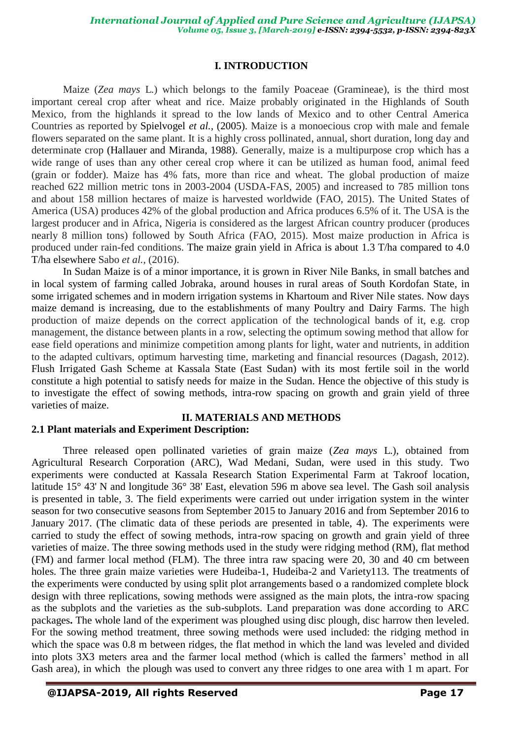# **I. INTRODUCTION**

Maize (*Zea mays* L.) which belongs to the family Poaceae (Gramineae), is the third most important cereal crop after wheat and rice. Maize probably originated in the Highlands of South Mexico, from the highlands it spread to the low lands of Mexico and to other Central America Countries as reported by Spielvogel *et al.,* (2005). Maize is a monoecious crop with male and female flowers separated on the same plant. It is a highly cross pollinated, annual, short duration, long day and determinate crop (Hallauer and Miranda, 1988). Generally, maize is a multipurpose crop which has a wide range of uses than any other cereal crop where it can be utilized as human food, animal feed (grain or fodder). Maize has 4% fats, more than rice and wheat. The global production of maize reached 622 million metric tons in 2003-2004 (USDA-FAS, 2005) and increased to 785 million tons and about 158 million hectares of maize is harvested worldwide (FAO, 2015). The United States of America (USA) produces 42% of the global production and Africa produces 6.5% of it. The USA is the largest producer and in Africa, Nigeria is considered as the largest African country producer (produces nearly 8 million tons) followed by South Africa (FAO, 2015). Most maize production in Africa is produced under rain-fed conditions. The maize grain yield in Africa is about 1.3 T/ha compared to 4.0 T/ha elsewhere Sabo *et al.,* (2016).

In Sudan Maize is of a minor importance, it is grown in River Nile Banks, in small batches and in local system of farming called Jobraka, around houses in rural areas of South Kordofan State, in some irrigated schemes and in modern irrigation systems in Khartoum and River Nile states. Now days maize demand is increasing, due to the establishments of many Poultry and Dairy Farms. The high production of maize depends on the correct application of the technological bands of it, e.g. crop management, the distance between plants in a row, selecting the optimum sowing method that allow for ease field operations and minimize competition among plants for light, water and nutrients, in addition to the adapted cultivars, optimum harvesting time, marketing and financial resources (Dagash, 2012). Flush Irrigated Gash Scheme at Kassala State (East Sudan) with its most fertile soil in the world constitute a high potential to satisfy needs for maize in the Sudan. Hence the objective of this study is to investigate the effect of sowing methods, intra-row spacing on growth and grain yield of three varieties of maize.

### **II. MATERIALS AND METHODS 2.1 Plant materials and Experiment Description:**

Three released open pollinated varieties of grain maize (*Zea mays* L.), obtained from Agricultural Research Corporation (ARC), Wad Medani, Sudan, were used in this study. Two experiments were conducted at Kassala Research Station Experimental Farm at Takroof location, latitude 15° 43' N and longitude 36° 38' East, elevation 596 m above sea level. The Gash soil analysis is presented in table, 3. The field experiments were carried out under irrigation system in the winter season for two consecutive seasons from September 2015 to January 2016 and from September 2016 to January 2017. (The climatic data of these periods are presented in table, 4). The experiments were carried to study the effect of sowing methods, intra-row spacing on growth and grain yield of three varieties of maize. The three sowing methods used in the study were ridging method (RM), flat method (FM) and farmer local method (FLM). The three intra raw spacing were 20, 30 and 40 cm between holes. The three grain maize varieties were Hudeiba-1, Hudeiba-2 and Variety113. The treatments of the experiments were conducted by using split plot arrangements based o a randomized complete block design with three replications, sowing methods were assigned as the main plots, the intra-row spacing as the subplots and the varieties as the sub-subplots. Land preparation was done according to ARC packages**.** The whole land of the experiment was ploughed using disc plough, disc harrow then leveled. For the sowing method treatment, three sowing methods were used included: the ridging method in which the space was 0.8 m between ridges, the flat method in which the land was leveled and divided into plots 3X3 meters area and the farmer local method (which is called the farmers' method in all Gash area), in which the plough was used to convert any three ridges to one area with 1 m apart. For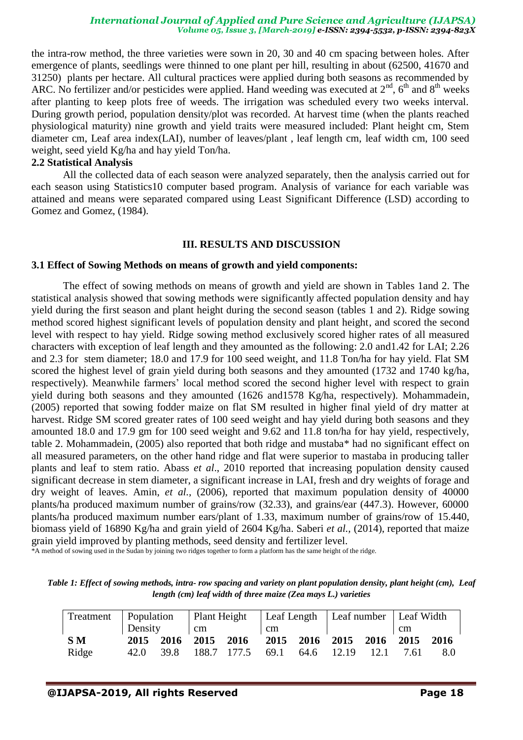the intra-row method, the three varieties were sown in 20, 30 and 40 cm spacing between holes. After emergence of plants, seedlings were thinned to one plant per hill, resulting in about (62500, 41670 and 31250) plants per hectare. All cultural practices were applied during both seasons as recommended by ARC. No fertilizer and/or pesticides were applied. Hand weeding was executed at  $2<sup>nd</sup>$ , 6<sup>th</sup> and 8<sup>th</sup> weeks after planting to keep plots free of weeds. The irrigation was scheduled every two weeks interval. During growth period, population density/plot was recorded. At harvest time (when the plants reached physiological maturity) nine growth and yield traits were measured included: Plant height cm, Stem diameter cm, Leaf area index(LAI), number of leaves/plant , leaf length cm, leaf width cm, 100 seed weight, seed yield Kg/ha and hay yield Ton/ha.

### **2.2 Statistical Analysis**

All the collected data of each season were analyzed separately, then the analysis carried out for each season using Statistics10 computer based program. Analysis of variance for each variable was attained and means were separated compared using Least Significant Difference (LSD) according to Gomez and Gomez, (1984).

### **III. RESULTS AND DISCUSSION**

### **3.1 Effect of Sowing Methods on means of growth and yield components:**

The effect of sowing methods on means of growth and yield are shown in Tables 1and 2. The statistical analysis showed that sowing methods were significantly affected population density and hay yield during the first season and plant height during the second season (tables 1 and 2). Ridge sowing method scored highest significant levels of population density and plant height, and scored the second level with respect to hay yield. Ridge sowing method exclusively scored higher rates of all measured characters with exception of leaf length and they amounted as the following: 2.0 and1.42 for LAI; 2.26 and 2.3 for stem diameter; 18.0 and 17.9 for 100 seed weight, and 11.8 Ton/ha for hay yield. Flat SM scored the highest level of grain yield during both seasons and they amounted (1732 and 1740 kg/ha, respectively). Meanwhile farmers' local method scored the second higher level with respect to grain yield during both seasons and they amounted (1626 and1578 Kg/ha, respectively). Mohammadein, (2005) reported that sowing fodder maize on flat SM resulted in higher final yield of dry matter at harvest. Ridge SM scored greater rates of 100 seed weight and hay yield during both seasons and they amounted 18.0 and 17.9 gm for 100 seed weight and 9.62 and 11.8 ton/ha for hay yield, respectively, table 2. Mohammadein, (2005) also reported that both ridge and mustaba\* had no significant effect on all measured parameters, on the other hand ridge and flat were superior to mastaba in producing taller plants and leaf to stem ratio. Abass *et al*., 2010 reported that increasing population density caused significant decrease in stem diameter, a significant increase in LAI, fresh and dry weights of forage and dry weight of leaves. Amin, *et al.,* (2006), reported that maximum population density of 40000 plants/ha produced maximum number of grains/row (32.33), and grains/ear (447.3). However, 60000 plants/ha produced maximum number ears/plant of 1.33, maximum number of grains/row of 15.440, biomass yield of 16890 Kg/ha and grain yield of 2604 Kg/ha. Saberi *et al.,* (2014), reported that maize grain yield improved by planting methods, seed density and fertilizer level.

\*A method of sowing used in the Sudan by joining two ridges together to form a platform has the same height of the ridge.

*Table 1: Effect of sowing methods, intra- row spacing and variety on plant population density, plant height (cm), Leaf length (cm) leaf width of three maize (Zea mays L.) varieties*

|           |         |  | Treatment   Population   Plant Height   Leaf Length   Leaf number   Leaf Width |                                                   |    |  |  |  |      |     |
|-----------|---------|--|--------------------------------------------------------------------------------|---------------------------------------------------|----|--|--|--|------|-----|
|           | Density |  | $1 \text{ cm}$                                                                 |                                                   | cm |  |  |  | cm   |     |
| <b>SM</b> |         |  |                                                                                | 2015 2016 2015 2016 2015 2016 2015 2016 2015 2016 |    |  |  |  |      |     |
| Ridge     |         |  |                                                                                | 42.0 39.8 188.7 177.5 69.1 64.6 12.19 12.1        |    |  |  |  | 7.61 | 8.0 |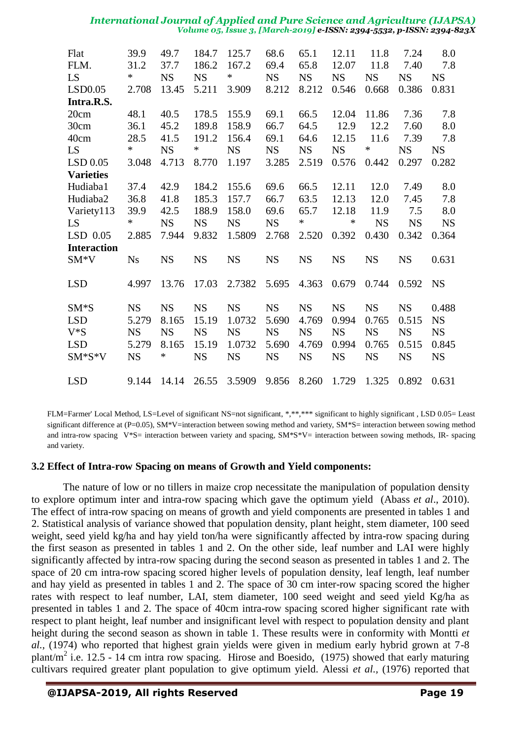| Flat<br>FLM.<br>LS<br>LSD0.05<br>Intra.R.S.                                                      | 39.9<br>31.2<br>$\ast$<br>2.708                                             | 49.7<br>37.7<br><b>NS</b><br>13.45                                       | 184.7<br>186.2<br><b>NS</b><br>5.211                                        | 125.7<br>167.2<br>$\ast$<br>3.909                                              | 68.6<br>69.4<br><b>NS</b><br>8.212                                          | 65.1<br>65.8<br><b>NS</b><br>8.212                                          | 12.11<br>12.07<br><b>NS</b><br>0.546                                        | 11.8<br>11.8<br><b>NS</b><br>0.668                                          | 7.24<br>7.40<br><b>NS</b><br>0.386                                          | 8.0<br>7.8<br><b>NS</b><br>0.831                                            |
|--------------------------------------------------------------------------------------------------|-----------------------------------------------------------------------------|--------------------------------------------------------------------------|-----------------------------------------------------------------------------|--------------------------------------------------------------------------------|-----------------------------------------------------------------------------|-----------------------------------------------------------------------------|-----------------------------------------------------------------------------|-----------------------------------------------------------------------------|-----------------------------------------------------------------------------|-----------------------------------------------------------------------------|
| 20cm<br>30cm<br>40cm<br>LS<br>LSD 0.05                                                           | 48.1<br>36.1<br>28.5<br>$\ast$<br>3.048                                     | 40.5<br>45.2<br>41.5<br><b>NS</b><br>4.713                               | 178.5<br>189.8<br>191.2<br>$\ast$<br>8.770                                  | 155.9<br>158.9<br>156.4<br><b>NS</b><br>1.197                                  | 69.1<br>66.7<br>69.1<br><b>NS</b><br>3.285                                  | 66.5<br>64.5<br>64.6<br><b>NS</b><br>2.519                                  | 12.04<br>12.9<br>12.15<br><b>NS</b><br>0.576                                | 11.86<br>12.2<br>11.6<br>$\ast$<br>0.442                                    | 7.36<br>7.60<br>7.39<br><b>NS</b><br>0.297                                  | 7.8<br>8.0<br>7.8<br><b>NS</b><br>0.282                                     |
| <b>Varieties</b><br>Hudiaba1<br>Hudiaba2<br>Variety113<br>LS<br>$LSD$ 0.05<br><b>Interaction</b> | 37.4<br>36.8<br>39.9<br>∗<br>2.885                                          | 42.9<br>41.8<br>42.5<br><b>NS</b><br>7.944                               | 184.2<br>185.3<br>188.9<br><b>NS</b><br>9.832                               | 155.6<br>157.7<br>158.0<br><b>NS</b><br>1.5809                                 | 69.6<br>66.7<br>69.6<br><b>NS</b><br>2.768                                  | 66.5<br>63.5<br>65.7<br>$\ast$<br>2.520                                     | 12.11<br>12.13<br>12.18<br>∗<br>0.392                                       | 12.0<br>12.0<br>11.9<br><b>NS</b><br>0.430                                  | 7.49<br>7.45<br>7.5<br><b>NS</b><br>0.342                                   | 8.0<br>7.8<br>8.0<br><b>NS</b><br>0.364                                     |
| $SM*V$<br><b>LSD</b><br>$SM*S$<br><b>LSD</b><br>$V^*S$<br><b>LSD</b><br>SM*S*V                   | <b>Ns</b><br>4.997<br><b>NS</b><br>5.279<br><b>NS</b><br>5.279<br><b>NS</b> | <b>NS</b><br>13.76<br><b>NS</b><br>8.165<br><b>NS</b><br>8.165<br>$\ast$ | <b>NS</b><br>17.03<br><b>NS</b><br>15.19<br><b>NS</b><br>15.19<br><b>NS</b> | <b>NS</b><br>2.7382<br><b>NS</b><br>1.0732<br><b>NS</b><br>1.0732<br><b>NS</b> | <b>NS</b><br>5.695<br><b>NS</b><br>5.690<br><b>NS</b><br>5.690<br><b>NS</b> | <b>NS</b><br>4.363<br><b>NS</b><br>4.769<br><b>NS</b><br>4.769<br><b>NS</b> | <b>NS</b><br>0.679<br><b>NS</b><br>0.994<br><b>NS</b><br>0.994<br><b>NS</b> | <b>NS</b><br>0.744<br><b>NS</b><br>0.765<br><b>NS</b><br>0.765<br><b>NS</b> | <b>NS</b><br>0.592<br><b>NS</b><br>0.515<br><b>NS</b><br>0.515<br><b>NS</b> | 0.631<br><b>NS</b><br>0.488<br><b>NS</b><br><b>NS</b><br>0.845<br><b>NS</b> |
| <b>LSD</b>                                                                                       | 9.144                                                                       | 14.14                                                                    | 26.55                                                                       | 3.5909                                                                         | 9.856                                                                       | 8.260                                                                       | 1.729                                                                       | 1.325                                                                       | 0.892                                                                       | 0.631                                                                       |

FLM=Farmer' Local Method, LS=Level of significant NS=not significant, \*,\*\*,\*\*\* significant to highly significant , LSD 0.05= Least significant difference at (P=0.05), SM\*V=interaction between sowing method and variety, SM\*S= interaction between sowing method and intra-row spacing  $V*S=$  interaction between variety and spacing,  $SM*S*V=$  interaction between sowing methods, IR- spacing and variety.

# **3.2 Effect of Intra-row Spacing on means of Growth and Yield components:**

The nature of low or no tillers in maize crop necessitate the manipulation of population density to explore optimum inter and intra-row spacing which gave the optimum yield (Abass *et al*., 2010). The effect of intra-row spacing on means of growth and yield components are presented in tables 1 and 2. Statistical analysis of variance showed that population density, plant height, stem diameter, 100 seed weight, seed yield kg/ha and hay yield ton/ha were significantly affected by intra-row spacing during the first season as presented in tables 1 and 2. On the other side, leaf number and LAI were highly significantly affected by intra-row spacing during the second season as presented in tables 1 and 2. The space of 20 cm intra-row spacing scored higher levels of population density, leaf length, leaf number and hay yield as presented in tables 1 and 2. The space of 30 cm inter-row spacing scored the higher rates with respect to leaf number, LAI, stem diameter, 100 seed weight and seed yield Kg/ha as presented in tables 1 and 2. The space of 40cm intra-row spacing scored higher significant rate with respect to plant height, leaf number and insignificant level with respect to population density and plant height during the second season as shown in table 1. These results were in conformity with Montti *et al.,* (1974) who reported that highest grain yields were given in medium early hybrid grown at 7-8 plant/m<sup>2</sup> i.e. 12.5 - 14 cm intra row spacing. Hirose and Boesido, (1975) showed that early maturing cultivars required greater plant population to give optimum yield. Alessi *et al.,* (1976) reported that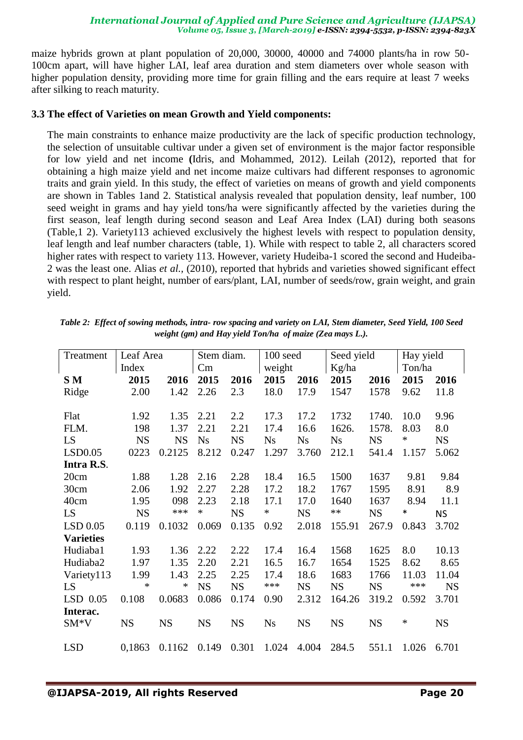maize hybrids grown at plant population of 20,000, 30000, 40000 and 74000 plants/ha in row 50- 100cm apart, will have higher LAI, leaf area duration and stem diameters over whole season with higher population density, providing more time for grain filling and the ears require at least 7 weeks after silking to reach maturity.

# **3.3 The effect of Varieties on mean Growth and Yield components:**

The main constraints to enhance maize productivity are the lack of specific production technology, the selection of unsuitable cultivar under a given set of environment is the major factor responsible for low yield and net income **(**Idris, and Mohammed, 2012). Leilah (2012), reported that for obtaining a high maize yield and net income maize cultivars had different responses to agronomic traits and grain yield. In this study, the effect of varieties on means of growth and yield components are shown in Tables 1and 2. Statistical analysis revealed that population density, leaf number, 100 seed weight in grams and hay yield tons/ha were significantly affected by the varieties during the first season, leaf length during second season and Leaf Area Index (LAI) during both seasons (Table,1 2). Variety113 achieved exclusively the highest levels with respect to population density, leaf length and leaf number characters (table, 1). While with respect to table 2, all characters scored higher rates with respect to variety 113. However, variety Hudeiba-1 scored the second and Hudeiba-2 was the least one. Alias *et al.,* (2010), reported that hybrids and varieties showed significant effect with respect to plant height, number of ears/plant, LAI, number of seeds/row, grain weight, and grain yield.

| Treatment        | Leaf Area |           | Stem diam. |           | $100$ seed |           | Seed yield |           | Hay yield |           |
|------------------|-----------|-----------|------------|-----------|------------|-----------|------------|-----------|-----------|-----------|
|                  | Index     |           | Cm         |           | weight     |           | Kg/ha      |           | Ton/ha    |           |
| S M              | 2015      | 2016      | 2015       | 2016      | 2015       | 2016      | 2015       | 2016      | 2015      | 2016      |
| Ridge            | 2.00      | 1.42      | 2.26       | 2.3       | 18.0       | 17.9      | 1547       | 1578      | 9.62      | 11.8      |
|                  |           |           |            |           |            |           |            |           |           |           |
| Flat             | 1.92      | 1.35      | 2.21       | 2.2       | 17.3       | 17.2      | 1732       | 1740.     | 10.0      | 9.96      |
| FLM.             | 198       | 1.37      | 2.21       | 2.21      | 17.4       | 16.6      | 1626.      | 1578.     | 8.03      | 8.0       |
| LS               | <b>NS</b> | <b>NS</b> | <b>Ns</b>  | <b>NS</b> | <b>Ns</b>  | <b>Ns</b> | Ns         | <b>NS</b> | ∗         | <b>NS</b> |
| LSD0.05          | 0223      | 0.2125    | 8.212      | 0.247     | 1.297      | 3.760     | 212.1      | 541.4     | 1.157     | 5.062     |
| Intra R.S.       |           |           |            |           |            |           |            |           |           |           |
| 20cm             | 1.88      | 1.28      | 2.16       | 2.28      | 18.4       | 16.5      | 1500       | 1637      | 9.81      | 9.84      |
| 30cm             | 2.06      | 1.92      | 2.27       | 2.28      | 17.2       | 18.2      | 1767       | 1595      | 8.91      | 8.9       |
| 40cm             | 1.95      | 098       | 2.23       | 2.18      | 17.1       | 17.0      | 1640       | 1637      | 8.94      | 11.1      |
| LS               | <b>NS</b> | ***       | $\ast$     | <b>NS</b> | $\ast$     | <b>NS</b> | $**$       | <b>NS</b> | $\ast$    | <b>NS</b> |
| $LSD$ 0.05       | 0.119     | 0.1032    | 0.069      | 0.135     | 0.92       | 2.018     | 155.91     | 267.9     | 0.843     | 3.702     |
| <b>Varieties</b> |           |           |            |           |            |           |            |           |           |           |
| Hudiaba1         | 1.93      | 1.36      | 2.22       | 2.22      | 17.4       | 16.4      | 1568       | 1625      | 8.0       | 10.13     |
| Hudiaba2         | 1.97      | 1.35      | 2.20       | 2.21      | 16.5       | 16.7      | 1654       | 1525      | 8.62      | 8.65      |
| Variety113       | 1.99      | 1.43      | 2.25       | 2.25      | 17.4       | 18.6      | 1683       | 1766      | 11.03     | 11.04     |
| LS               | $\ast$    | $\ast$    | <b>NS</b>  | <b>NS</b> | ***        | <b>NS</b> | <b>NS</b>  | <b>NS</b> | ***       | <b>NS</b> |
| $LSD$ 0.05       | 0.108     | 0.0683    | 0.086      | 0.174     | 0.90       | 2.312     | 164.26     | 319.2     | 0.592     | 3.701     |
| Interac.         |           |           |            |           |            |           |            |           |           |           |
| $SM*V$           | <b>NS</b> | <b>NS</b> | <b>NS</b>  | <b>NS</b> | <b>Ns</b>  | <b>NS</b> | <b>NS</b>  | <b>NS</b> | ∗         | <b>NS</b> |
|                  |           |           |            |           |            |           |            |           |           |           |
| <b>LSD</b>       | 0,1863    | 0.1162    | 0.149      | 0.301     | 1.024      | 4.004     | 284.5      | 551.1     | 1.026     | 6.701     |

*Table 2: Effect of sowing methods, intra- row spacing and variety on LAI, Stem diameter, Seed Yield, 100 Seed weight (gm) and Hay yield Ton/ha of maize (Zea mays L.).*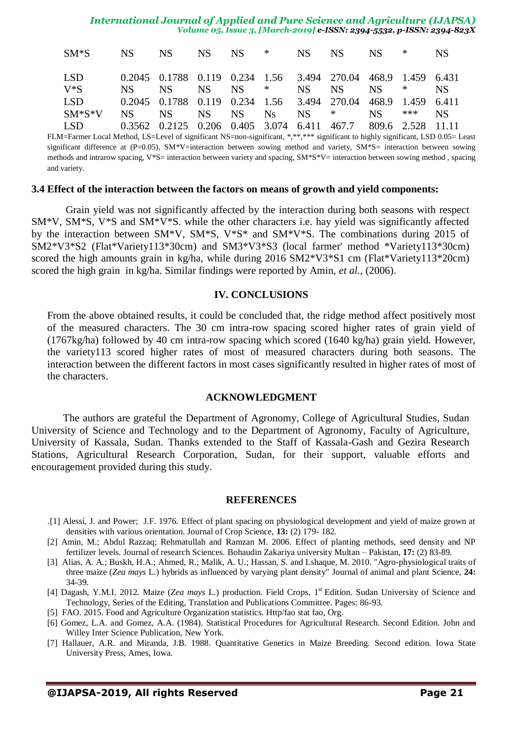| SM*S NS NS NS NS * NS NS * *                                      |                                                               |  |  |  |  | NS. |
|-------------------------------------------------------------------|---------------------------------------------------------------|--|--|--|--|-----|
| LSD                                                               | 0.2045 0.1788 0.119 0.234 1.56 3.494 270.04 468.9 1.459 6.431 |  |  |  |  |     |
| $V^*S$                                                            | NS NS NS NS * NS NS NS * NS                                   |  |  |  |  |     |
| LSD 0.2045 0.1788 0.119 0.234 1.56 3.494 270.04 468.9 1.459 6.411 |                                                               |  |  |  |  |     |
| SM*S*V NS NS NS NS Ns NS * NS *** NS                              |                                                               |  |  |  |  |     |
| LSD                                                               | 0.3562 0.2125 0.206 0.405 3.074 6.411 467.7 809.6 2.528 11.11 |  |  |  |  |     |

FLM=Farmer Local Method, LS=Level of significant NS=non-significant, \*,\*\*,\*\*\* significant to highly significant, LSD 0.05= Least significant difference at (P=0.05), SM\*V=interaction between sowing method and variety, SM\*S= interaction between sowing methods and intrarow spacing, V\*S= interaction between variety and spacing, SM\*S\*V= interaction between sowing method , spacing and variety.

### **3.4 Effect of the interaction between the factors on means of growth and yield components:**

Grain yield was not significantly affected by the interaction during both seasons with respect SM\*V, SM\*S, V\*S and SM\*V\*S. while the other characters i.e. hay yield was significantly affected by the interaction between SM\*V, SM\*S, V\*S\* and SM\*V\*S. The combinations during 2015 of SM2\*V3\*S2 (Flat\*Variety113\*30cm) and SM3\*V3\*S3 (local farmer' method \*Variety113\*30cm) scored the high amounts grain in kg/ha, while during 2016 SM2\*V3\*S1 cm (Flat\*Variety113\*20cm) scored the high grain in kg/ha. Similar findings were reported by Amin, *et al.,* (2006).

# **IV. CONCLUSIONS**

From the above obtained results, it could be concluded that, the ridge method affect positively most of the measured characters. The 30 cm intra-row spacing scored higher rates of grain yield of (1767kg/ha) followed by 40 cm intra-row spacing which scored (1640 kg/ha) grain yield. However, the variety113 scored higher rates of most of measured characters during both seasons. The interaction between the different factors in most cases significantly resulted in higher rates of most of the characters.

### **ACKNOWLEDGMENT**

The authors are grateful the Department of Agronomy, College of Agricultural Studies, Sudan University of Science and Technology and to the Department of Agronomy, Faculty of Agriculture, University of Kassala, Sudan. Thanks extended to the Staff of Kassala-Gash and Gezira Research Stations, Agricultural Research Corporation, Sudan, for their support, valuable efforts and encouragement provided during this study.

#### **REFERENCES**

- .[1] Alessi, J. and Power; J.F. 1976. Effect of plant spacing on physiological development and yield of maize grown at densities with various orientation. Journal of Crop Science, **13:** (2) 179- 182.
- [2] Amin, M.; Abdul Razzaq; Rehmatullah and Ramzan M. 2006. Effect of planting methods, seed density and NP fertilizer levels. Journal of research Sciences. Bohaudin Zakariya university Multan – Pakistan, **17:** (2) 83-89.
- [3] Alias, A. A.; Buskh, H.A.; Ahmed, R.; Malik, A. U.; Hassan, S. and Lshaque, M. 2010. "Agro-physiological traits of three maize (*Zea mays* L.) hybrids as influenced by varying plant density" Journal of animal and plant Science, **24:** 34-39.
- [4] Dagash, Y.M.I. 2012. Maize (Zea mays L.) production. Field Crops, 1<sup>st</sup> Edition. Sudan University of Science and Technology, Series of the Editing, Translation and Publications Committee. Pages: 86-93.
- [5] FAO. 2015. Food and Agriculture Organization statistics. Http/fao stat fao, Org.
- [6] Gomez, L.A. and Gomez, A.A. (1984). Statistical Procedures for Agricultural Research. Second Edition. John and Willey Inter Science Publication, New York.
- [7] Hallauer, A.R. and Miranda, J.B. 1988. Quantitative Genetics in Maize Breeding. Second edition. Iowa State University Press, Ames, Iowa.